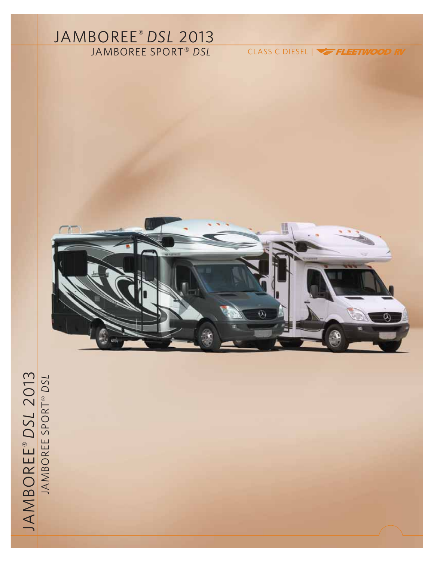# JAMBOREE® *DSL* 2013

JAMBOREE SPORT® *DSL* CLASS C DIESEL |



# JAMBOREE® *DSL* 2013 JAMBOREE SPORT ® *DSL*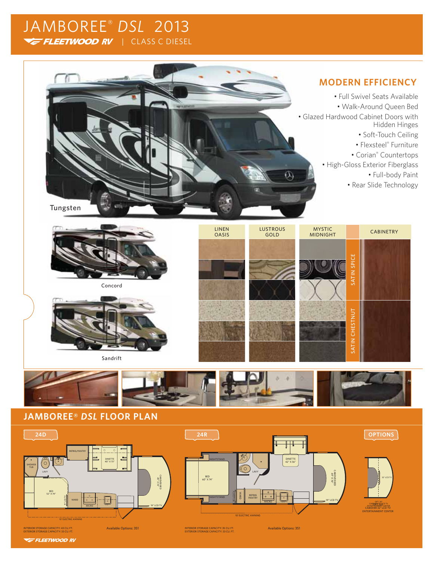# JAMBOREE® *DSL* 2013 FLEETWOOD RV | CLASS C DIESEL



# **MODERN EFFICIENCY**

• Full Swivel Seats Available • Walk-Around Queen Bed • Glazed Hardwood Cabinet Doors with Hidden Hinges • Soft-Touch Ceiling

• Flexsteel® Furniture

• Corian® Countertops

• High-Gloss Exterior Fiberglass

• Full-body Paint

• Rear Slide Technology



Concord



Sandrift





# **JAMBOREE®** *DSL* **FLOOR PLAN**



**VE FLEETWOOD RV**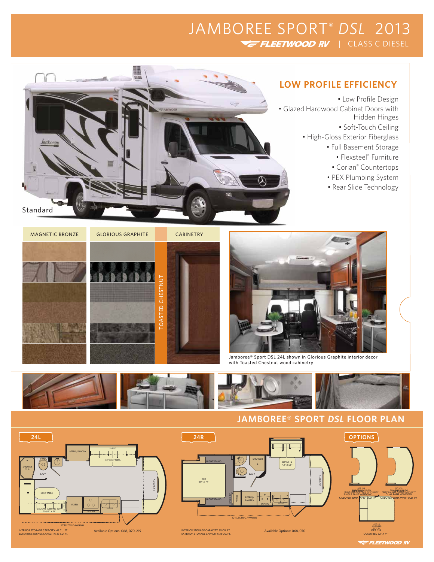# JAMBOREE SPORT® *DSL* 2013 FLEETWOOD RV | CLASS C DIESEL



- Low Profile Design • Glazed Hardwood Cabinet Doors with Hidden Hinges
	- Soft-Touch Ceiling
	- High-Gloss Exterior Fiberglass
		- Full Basement Storage
			- Flexsteel® Furniture
			- Corian® Countertops
		- PEX Plumbing System
		- Rear Slide Technology











Jamboree® Sport DSL 24L shown in Glorious Graphite interior decor with Toasted Chestnut wood cabinetry



# **JAMBOREE® SPORT** *DSL* **FLOOR PLAN**



**E FLEETWOOD RV**